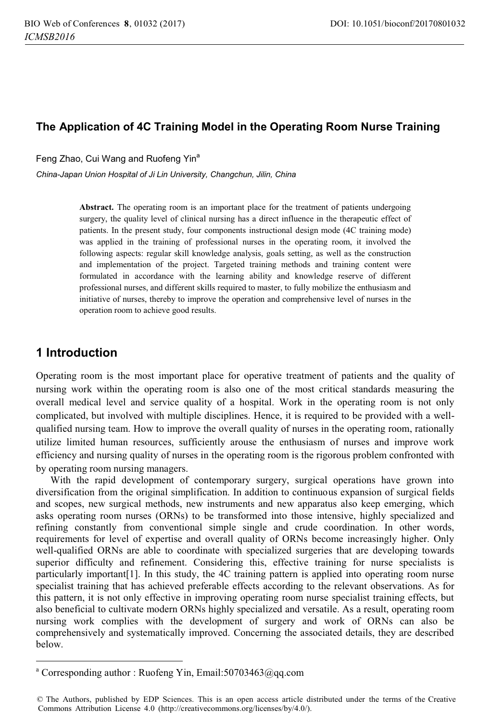# **The Application of 4C Training Model in the Operating Room Nurse Training**

Feng Zhao, Cui Wang and Ruofeng Yin<sup>a</sup>

*China-Japan Union Hospital of Ji Lin University, Changchun, Jilin, China* 

**Abstract.** The operating room is an important place for the treatment of patients undergoing surgery, the quality level of clinical nursing has a direct influence in the therapeutic effect of patients. In the present study, four components instructional design mode (4C training mode) was applied in the training of professional nurses in the operating room, it involved the following aspects: regular skill knowledge analysis, goals setting, as well as the construction and implementation of the project. Targeted training methods and training content were formulated in accordance with the learning ability and knowledge reserve of different professional nurses, and different skills required to master, to fully mobilize the enthusiasm and initiative of nurses, thereby to improve the operation and comprehensive level of nurses in the operation room to achieve good results.

# **1 Introduction**

 $\overline{a}$ 

Operating room is the most important place for operative treatment of patients and the quality of nursing work within the operating room is also one of the most critical standards measuring the overall medical level and service quality of a hospital. Work in the operating room is not only complicated, but involved with multiple disciplines. Hence, it is required to be provided with a wellqualified nursing team. How to improve the overall quality of nurses in the operating room, rationally utilize limited human resources, sufficiently arouse the enthusiasm of nurses and improve work efficiency and nursing quality of nurses in the operating room is the rigorous problem confronted with by operating room nursing managers.

With the rapid development of contemporary surgery, surgical operations have grown into diversification from the original simplification. In addition to continuous expansion of surgical fields and scopes, new surgical methods, new instruments and new apparatus also keep emerging, which asks operating room nurses (ORNs) to be transformed into those intensive, highly specialized and refining constantly from conventional simple single and crude coordination. In other words, requirements for level of expertise and overall quality of ORNs become increasingly higher. Only well-qualified ORNs are able to coordinate with specialized surgeries that are developing towards superior difficulty and refinement. Considering this, effective training for nurse specialists is particularly important[1]. In this study, the 4C training pattern is applied into operating room nurse specialist training that has achieved preferable effects according to the relevant observations. As for this pattern, it is not only effective in improving operating room nurse specialist training effects, but also beneficial to cultivate modern ORNs highly specialized and versatile. As a result, operating room nursing work complies with the development of surgery and work of ORNs can also be comprehensively and systematically improved. Concerning the associated details, they are described below.

<sup>&</sup>lt;sup>a</sup> Corresponding author: Ruofeng Yin, Email:50703463@qq.com

<sup>©</sup> The Authors, published by EDP Sciences. This is an open access article distributed under the terms of the Creative Commons Attribution License 4.0 (http://creativecommons.org/licenses/by/4.0/).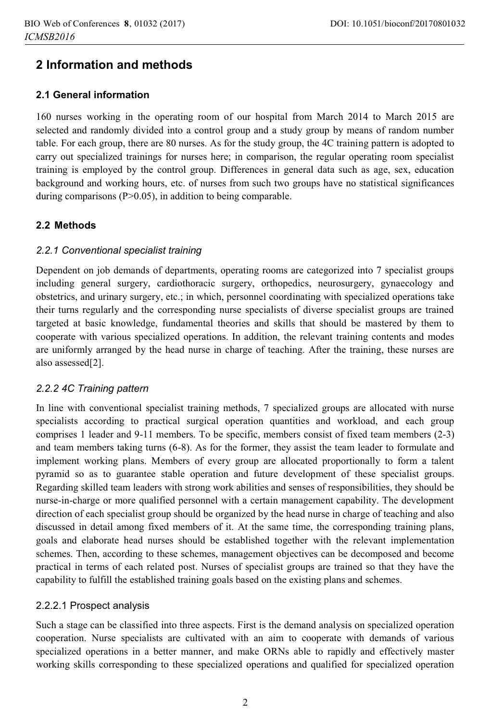# **2 Information and methods**

## **2.1 General information**

160 nurses working in the operating room of our hospital from March 2014 to March 2015 are selected and randomly divided into a control group and a study group by means of random number table. For each group, there are 80 nurses. As for the study group, the 4C training pattern is adopted to carry out specialized trainings for nurses here; in comparison, the regular operating room specialist training is employed by the control group. Differences in general data such as age, sex, education background and working hours, etc. of nurses from such two groups have no statistical significances during comparisons (P>0.05), in addition to being comparable.

# **2.2 Methods**

## *2.2.1 Conventional specialist training*

Dependent on job demands of departments, operating rooms are categorized into 7 specialist groups including general surgery, cardiothoracic surgery, orthopedics, neurosurgery, gynaecology and obstetrics, and urinary surgery, etc.; in which, personnel coordinating with specialized operations take their turns regularly and the corresponding nurse specialists of diverse specialist groups are trained targeted at basic knowledge, fundamental theories and skills that should be mastered by them to cooperate with various specialized operations. In addition, the relevant training contents and modes are uniformly arranged by the head nurse in charge of teaching. After the training, these nurses are also assessed[2].

## *2.2.2 4C Training pattern*

In line with conventional specialist training methods, 7 specialized groups are allocated with nurse specialists according to practical surgical operation quantities and workload, and each group comprises 1 leader and 9-11 members. To be specific, members consist of fixed team members (2-3) and team members taking turns (6-8). As for the former, they assist the team leader to formulate and implement working plans. Members of every group are allocated proportionally to form a talent pyramid so as to guarantee stable operation and future development of these specialist groups. Regarding skilled team leaders with strong work abilities and senses of responsibilities, they should be nurse-in-charge or more qualified personnel with a certain management capability. The development direction of each specialist group should be organized by the head nurse in charge of teaching and also discussed in detail among fixed members of it. At the same time, the corresponding training plans, goals and elaborate head nurses should be established together with the relevant implementation schemes. Then, according to these schemes, management objectives can be decomposed and become practical in terms of each related post. Nurses of specialist groups are trained so that they have the capability to fulfill the established training goals based on the existing plans and schemes.

## 2.2.2.1 Prospect analysis

Such a stage can be classified into three aspects. First is the demand analysis on specialized operation cooperation. Nurse specialists are cultivated with an aim to cooperate with demands of various specialized operations in a better manner, and make ORNs able to rapidly and effectively master working skills corresponding to these specialized operations and qualified for specialized operation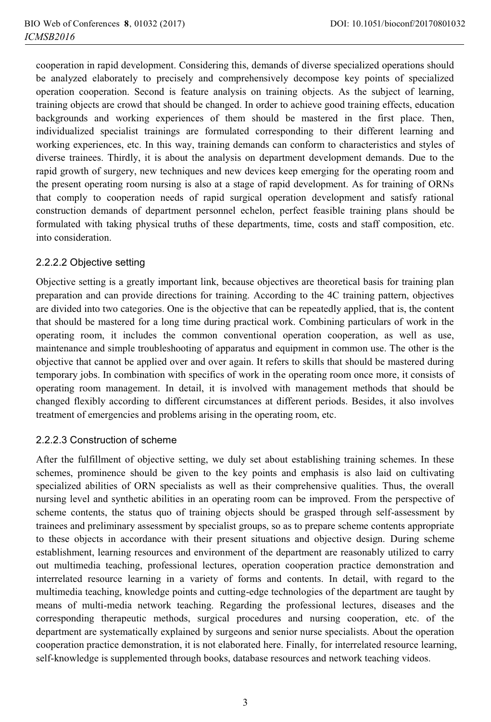cooperation in rapid development. Considering this, demands of diverse specialized operations should be analyzed elaborately to precisely and comprehensively decompose key points of specialized operation cooperation. Second is feature analysis on training objects. As the subject of learning, training objects are crowd that should be changed. In order to achieve good training effects, education backgrounds and working experiences of them should be mastered in the first place. Then, individualized specialist trainings are formulated corresponding to their different learning and working experiences, etc. In this way, training demands can conform to characteristics and styles of diverse trainees. Thirdly, it is about the analysis on department development demands. Due to the rapid growth of surgery, new techniques and new devices keep emerging for the operating room and the present operating room nursing is also at a stage of rapid development. As for training of ORNs that comply to cooperation needs of rapid surgical operation development and satisfy rational construction demands of department personnel echelon, perfect feasible training plans should be formulated with taking physical truths of these departments, time, costs and staff composition, etc. into consideration.

#### 2.2.2.2 Objective setting

Objective setting is a greatly important link, because objectives are theoretical basis for training plan preparation and can provide directions for training. According to the 4C training pattern, objectives are divided into two categories. One is the objective that can be repeatedly applied, that is, the content that should be mastered for a long time during practical work. Combining particulars of work in the operating room, it includes the common conventional operation cooperation, as well as use, maintenance and simple troubleshooting of apparatus and equipment in common use. The other is the objective that cannot be applied over and over again. It refers to skills that should be mastered during temporary jobs. In combination with specifics of work in the operating room once more, it consists of operating room management. In detail, it is involved with management methods that should be changed flexibly according to different circumstances at different periods. Besides, it also involves treatment of emergencies and problems arising in the operating room, etc.

## 2.2.2.3 Construction of scheme

After the fulfillment of objective setting, we duly set about establishing training schemes. In these schemes, prominence should be given to the key points and emphasis is also laid on cultivating specialized abilities of ORN specialists as well as their comprehensive qualities. Thus, the overall nursing level and synthetic abilities in an operating room can be improved. From the perspective of scheme contents, the status quo of training objects should be grasped through self-assessment by trainees and preliminary assessment by specialist groups, so as to prepare scheme contents appropriate to these objects in accordance with their present situations and objective design. During scheme establishment, learning resources and environment of the department are reasonably utilized to carry out multimedia teaching, professional lectures, operation cooperation practice demonstration and interrelated resource learning in a variety of forms and contents. In detail, with regard to the multimedia teaching, knowledge points and cutting-edge technologies of the department are taught by means of multi-media network teaching. Regarding the professional lectures, diseases and the corresponding therapeutic methods, surgical procedures and nursing cooperation, etc. of the department are systematically explained by surgeons and senior nurse specialists. About the operation cooperation practice demonstration, it is not elaborated here. Finally, for interrelated resource learning, self-knowledge is supplemented through books, database resources and network teaching videos.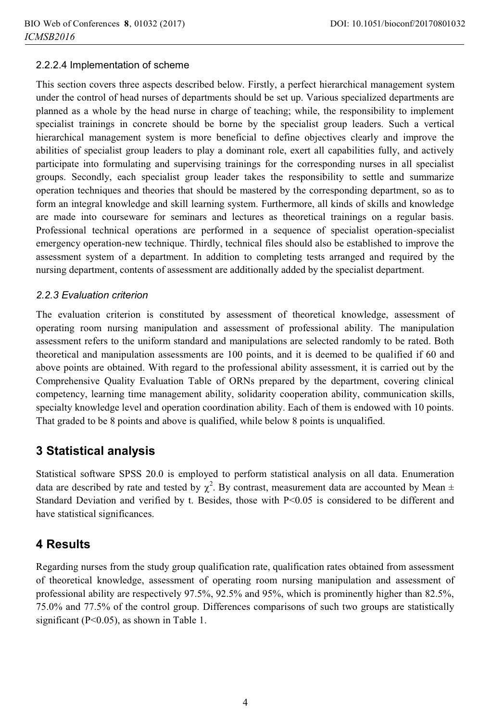# 2.2.2.4 Implementation of scheme

This section covers three aspects described below. Firstly, a perfect hierarchical management system under the control of head nurses of departments should be set up. Various specialized departments are planned as a whole by the head nurse in charge of teaching; while, the responsibility to implement specialist trainings in concrete should be borne by the specialist group leaders. Such a vertical hierarchical management system is more beneficial to define objectives clearly and improve the abilities of specialist group leaders to play a dominant role, exert all capabilities fully, and actively participate into formulating and supervising trainings for the corresponding nurses in all specialist groups. Secondly, each specialist group leader takes the responsibility to settle and summarize operation techniques and theories that should be mastered by the corresponding department, so as to form an integral knowledge and skill learning system. Furthermore, all kinds of skills and knowledge are made into courseware for seminars and lectures as theoretical trainings on a regular basis. Professional technical operations are performed in a sequence of specialist operation-specialist emergency operation-new technique. Thirdly, technical files should also be established to improve the assessment system of a department. In addition to completing tests arranged and required by the nursing department, contents of assessment are additionally added by the specialist department.

## 2.2.3 Evaluation criterion

The evaluation criterion is constituted by assessment of theoretical knowledge, assessment of operating room nursing manipulation and assessment of professional ability. The manipulation assessment refers to the uniform standard and manipulations are selected randomly to be rated. Both theoretical and manipulation assessments are 100 points, and it is deemed to be qualified if 60 and above points are obtained. With regard to the professional ability assessment, it is carried out by the Comprehensive Quality Evaluation Table of ORNs prepared by the department, covering clinical competency, learning time management ability, solidarity cooperation ability, communication skills, specialty knowledge level and operation coordination ability. Each of them is endowed with 10 points. That graded to be 8 points and above is qualified, while below 8 points is unqualified.

# **3 Statistical analysis**

Statistical software SPSS 20.0 is employed to perform statistical analysis on all data. Enumeration data are described by rate and tested by  $\chi^2$ . By contrast, measurement data are accounted by Mean  $\pm$ Standard Deviation and verified by t. Besides, those with P<0.05 is considered to be different and have statistical significances.

# **4 Results**

Regarding nurses from the study group qualification rate, qualification rates obtained from assessment of theoretical knowledge, assessment of operating room nursing manipulation and assessment of professional ability are respectively 97.5%, 92.5% and 95%, which is prominently higher than 82.5%, 75.0% and 77.5% of the control group. Differences comparisons of such two groups are statistically significant (P<0.05), as shown in Table 1.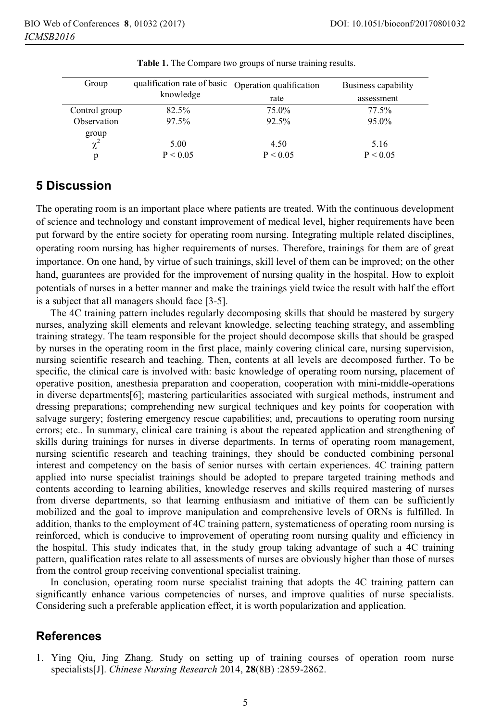| Group                         | qualification rate of basic | Operation qualification | Business capability |
|-------------------------------|-----------------------------|-------------------------|---------------------|
|                               | knowledge                   | rate                    | assessment          |
| Control group                 | 82.5%                       | 75.0%                   | $77.5\%$            |
| Observation                   | 97.5%                       | 92.5%                   | 95.0%               |
|                               |                             |                         |                     |
| $\frac{\text{group}}{\chi^2}$ | 5.00                        | 4.50                    | 5.16                |
| n                             | P < 0.05                    | P < 0.05                | P < 0.05            |

**Table 1.** The Compare two groups of nurse training results.

# **5 Discussion**

The operating room is an important place where patients are treated. With the continuous development of science and technology and constant improvement of medical level, higher requirements have been put forward by the entire society for operating room nursing. Integrating multiple related disciplines, operating room nursing has higher requirements of nurses. Therefore, trainings for them are of great importance. On one hand, by virtue of such trainings, skill level of them can be improved; on the other hand, guarantees are provided for the improvement of nursing quality in the hospital. How to exploit potentials of nurses in a better manner and make the trainings yield twice the result with half the effort is a subject that all managers should face [3-5].

The 4C training pattern includes regularly decomposing skills that should be mastered by surgery nurses, analyzing skill elements and relevant knowledge, selecting teaching strategy, and assembling training strategy. The team responsible for the project should decompose skills that should be grasped by nurses in the operating room in the first place, mainly covering clinical care, nursing supervision, nursing scientific research and teaching. Then, contents at all levels are decomposed further. To be specific, the clinical care is involved with: basic knowledge of operating room nursing, placement of operative position, anesthesia preparation and cooperation, cooperation with mini-middle-operations in diverse departments[6]; mastering particularities associated with surgical methods, instrument and dressing preparations; comprehending new surgical techniques and key points for cooperation with salvage surgery; fostering emergency rescue capabilities; and, precautions to operating room nursing errors; etc.. In summary, clinical care training is about the repeated application and strengthening of skills during trainings for nurses in diverse departments. In terms of operating room management, nursing scientific research and teaching trainings, they should be conducted combining personal interest and competency on the basis of senior nurses with certain experiences. 4C training pattern applied into nurse specialist trainings should be adopted to prepare targeted training methods and contents according to learning abilities, knowledge reserves and skills required mastering of nurses from diverse departments, so that learning enthusiasm and initiative of them can be sufficiently mobilized and the goal to improve manipulation and comprehensive levels of ORNs is fulfilled. In addition, thanks to the employment of 4C training pattern, systematicness of operating room nursing is reinforced, which is conducive to improvement of operating room nursing quality and efficiency in the hospital. This study indicates that, in the study group taking advantage of such a 4C training pattern, qualification rates relate to all assessments of nurses are obviously higher than those of nurses from the control group receiving conventional specialist training.

In conclusion, operating room nurse specialist training that adopts the 4C training pattern can significantly enhance various competencies of nurses, and improve qualities of nurse specialists. Considering such a preferable application effect, it is worth popularization and application.

# **References**

1. Ying Qiu, Jing Zhang. Study on setting up of training courses of operation room nurse specialists[J]. *Chinese Nursing Research* 2014, **28**(8B) :2859-2862.